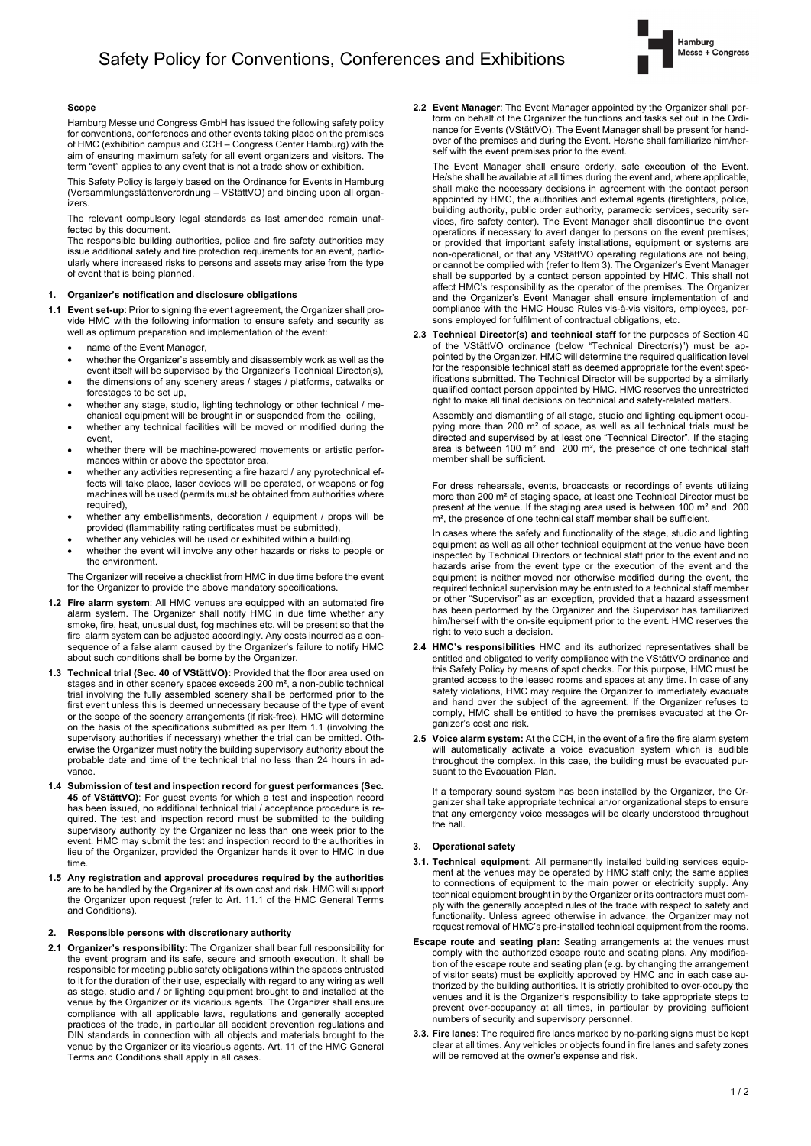

# **Scope**

Hamburg Messe und Congress GmbH has issued the following safety policy for conventions, conferences and other events taking place on the premiof HMC (exhibition campus and CCH – Congress Center Hamburg) with the aim of ensuring maximum safety for all event organizers and visitors. The term "event" applies to any event that is not a trade show or exhibition.

This Safety Policy is largely based on the Ordinance for Events in Hamburg (Versammlungsstättenverordnung – VStättVO) and binding upon all organizers.

The relevant compulsory legal standards as last amended remain unaffected by this document.

The responsible building authorities, police and fire safety authorities may issue additional safety and fire protection requirements for an event, particularly where increased risks to persons and assets may arise from the type of event that is being planned.

### **1. Organizer's notification and disclosure obligations**

- **1.1 Event set-up**: Prior to signing the event agreement, the Organizer shall provide HMC with the following information to ensure safety and security as well as optimum preparation and implementation of the event:
	- name of the Event Manager,
	- whether the Organizer's assembly and disassembly work as well as the event itself will be supervised by the Organizer's Technical Director(s),
	- the dimensions of any scenery areas / stages / platforms, catwalks or forestages to be set up,
	- whether any stage, studio, lighting technology or other technical / mechanical equipment will be brought in or suspended from the ceiling,
	- whether any technical facilities will be moved or modified during the event,
	- whether there will be machine-powered movements or artistic performances within or above the spectator area,
	- whether any activities representing a fire hazard / any pyrotechnical effects will take place, laser devices will be operated, or weapons or fog machines will be used (permits must be obtained from authorities where required),
	- whether any embellishments, decoration / equipment / props will be provided (flammability rating certificates must be submitted),
	- whether any vehicles will be used or exhibited within a building,
	- whether the event will involve any other hazards or risks to people or the environment.

The Organizer will receive a checklist from HMC in due time before the event for the Organizer to provide the above mandatory specifications.

- **1.2 Fire alarm system**: All HMC venues are equipped with an automated fire alarm system. The Organizer shall notify HMC in due time whether any smoke, fire, heat, unusual dust, fog machines etc. will be present so that the fire alarm system can be adjusted accordingly. Any costs incurred as a consequence of a false alarm caused by the Organizer's failure to notify HMC about such conditions shall be borne by the Organizer.
- **1.3 Technical trial (Sec. 40 of VStättVO):** Provided that the floor area used on stages and in other scenery spaces exceeds 200 m<sup>2</sup>, a non-public technical trial involving the fully assembled scenery shall be performed prior to the first event unless this is deemed unnecessary because of the type of event or the scope of the scenery arrangements (if risk-free). HMC will determine on the basis of the specifications submitted as per Item 1.1 (involving the supervisory authorities if necessary) whether the trial can be omitted. Otherwise the Organizer must notify the building supervisory authority about the probable date and time of the technical trial no less than 24 hours in advance.
- **1.4 Submission of test and inspection record for guest performances (Sec. 45 of VStättVO)**: For guest events for which a test and inspection record has been issued, no additional technical trial / acceptance procedure is required. The test and inspection record must be submitted to the building supervisory authority by the Organizer no less than one week prior to the event. HMC may submit the test and inspection record to the authorities in lieu of the Organizer, provided the Organizer hands it over to HMC in due time.
- **1.5 Any registration and approval procedures required by the authorities** are to be handled by the Organizer at its own cost and risk. HMC will support the Organizer upon request (refer to Art. 11.1 of the HMC General Terms and Conditions).

### **2. Responsible persons with discretionary authority**

**2.1 Organizer's responsibility**: The Organizer shall bear full responsibility for the event program and its safe, secure and smooth execution. It shall be responsible for meeting public safety obligations within the spaces entrusted to it for the duration of their use, especially with regard to any wiring as well as stage, studio and / or lighting equipment brought to and installed at the venue by the Organizer or its vicarious agents. The Organizer shall ensure compliance with all applicable laws, regulations and generally accepted practices of the trade, in particular all accident prevention regulations and DIN standards in connection with all objects and materials brought to the venue by the Organizer or its vicarious agents. Art. 11 of the HMC General Terms and Conditions shall apply in all cases.

**2.2 Event Manager**: The Event Manager appointed by the Organizer shall perform on behalf of the Organizer the functions and tasks set out in the Ordinance for Events (VStättVO). The Event Manager shall be present for handover of the premises and during the Event. He/she shall familiarize him/herself with the event premises prior to the event.

The Event Manager shall ensure orderly, safe execution of the Event. He/she shall be available at all times during the event and, where applicable, shall make the necessary decisions in agreement with the contact person appointed by HMC, the authorities and external agents (firefighters, police, building authority, public order authority, paramedic services, security services, fire safety center). The Event Manager shall discontinue the event operations if necessary to avert danger to persons on the event premises; or provided that important safety installations, equipment or systems are non-operational, or that any VStättVO operating regulations are not being, or cannot be complied with (refer to Item 3). The Organizer's Event Manager shall be supported by a contact person appointed by HMC. This shall not affect HMC's responsibility as the operator of the premises. The Organizer and the Organizer's Event Manager shall ensure implementation of and compliance with the HMC House Rules vis-à-vis visitors, employees, persons employed for fulfilment of contractual obligations, etc.

**2.3 Technical Director(s) and technical staff** for the purposes of Section 40 of the VStättVO ordinance (below "Technical Director(s)") must be appointed by the Organizer. HMC will determine the required qualification level for the responsible technical staff as deemed appropriate for the event specifications submitted. The Technical Director will be supported by a similarly qualified contact person appointed by HMC. HMC reserves the unrestricted right to make all final decisions on technical and safety-related matters.

Assembly and dismantling of all stage, studio and lighting equipment occupying more than 200 m² of space, as well as all technical trials must be directed and supervised by at least one "Technical Director". If the staging area is between 100 m² and 200 m², the presence of one technical staff member shall be sufficient.

For dress rehearsals, events, broadcasts or recordings of events utilizing more than 200 m² of staging space, at least one Technical Director must be present at the venue. If the staging area used is between 100 m² and 200 m<sup>2</sup>, the presence of one technical staff member shall be sufficient.

In cases where the safety and functionality of the stage, studio and lighting equipment as well as all other technical equipment at the venue have been inspected by Technical Directors or technical staff prior to the event and no hazards arise from the event type or the execution of the event and the equipment is neither moved nor otherwise modified during the event, the required technical supervision may be entrusted to a technical staff member or other "Supervisor" as an exception, provided that a hazard assessment has been performed by the Organizer and the Supervisor has familiarized him/herself with the on-site equipment prior to the event. HMC reserves the right to veto such a decision.

- **2.4 HMC's responsibilities** HMC and its authorized representatives shall be entitled and obligated to verify compliance with the VStättVO ordinance and this Safety Policy by means of spot checks. For this purpose, HMC must be granted access to the leased rooms and spaces at any time. In case of any safety violations, HMC may require the Organizer to immediately evacuate and hand over the subject of the agreement. If the Organizer refuses to comply, HMC shall be entitled to have the premises evacuated at the Organizer's cost and risk.
- **2.5 Voice alarm system:** At the CCH, in the event of a fire the fire alarm system will automatically activate a voice evacuation system which is audible throughout the complex. In this case, the building must be evacuated pursuant to the Evacuation Plan.

If a temporary sound system has been installed by the Organizer, the Organizer shall take appropriate technical an/or organizational steps to ensure that any emergency voice messages will be clearly understood throughout the hall.

# **3. Operational safety**

- **3.1. Technical equipment**: All permanently installed building services equipment at the venues may be operated by HMC staff only; the same applies to connections of equipment to the main power or electricity supply. Any technical equipment brought in by the Organizer or its contractors must comply with the generally accepted rules of the trade with respect to safety and functionality. Unless agreed otherwise in advance, the Organizer may not request removal of HMC's pre-installed technical equipment from the rooms.
- **Escape route and seating plan:** Seating arrangements at the venues must comply with the authorized escape route and seating plans. Any modification of the escape route and seating plan (e.g. by changing the arrangement of visitor seats) must be explicitly approved by HMC and in each case authorized by the building authorities. It is strictly prohibited to over-occupy the venues and it is the Organizer's responsibility to take appropriate steps to prevent over-occupancy at all times, in particular by providing sufficient numbers of security and supervisory personnel.
- **3.3. Fire lanes**: The required fire lanes marked by no-parking signs must be kept clear at all times. Any vehicles or objects found in fire lanes and safety zones will be removed at the owner's expense and risk.